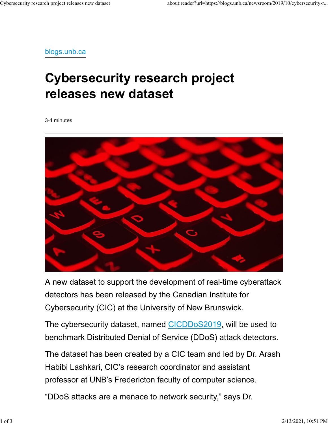blogs.unb.ca

## Cybersecurity research project releases new dataset

3-4 minutes



A new dataset to support the development of real-time cyberattack detectors has been released by the Canadian Institute for Cybersecurity (CIC) at the University of New Brunswick.

The cybersecurity dataset, named CICDDoS2019, will be used to benchmark Distributed Denial of Service (DDoS) attack detectors.

The dataset has been created by a CIC team and led by Dr. Arash Habibi Lashkari, CIC's research coordinator and assistant professor at UNB's Fredericton faculty of computer science.

"DDoS attacks are a menace to network security," says Dr.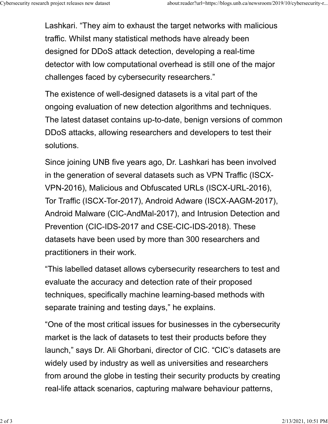Lashkari. "They aim to exhaust the target networks with malicious traffic. Whilst many statistical methods have already been designed for DDoS attack detection, developing a real-time detector with low computational overhead is still one of the major challenges faced by cybersecurity researchers." Cybersecurity research project releases new dataset<br>
Lashkari. "They aim to exhaust the target networks with malicious<br>
traffic Whilst many statistical methods have already been

> The existence of well-designed datasets is a vital part of the ongoing evaluation of new detection algorithms and techniques. The latest dataset contains up-to-date, benign versions of common DDoS attacks, allowing researchers and developers to test their solutions.

Since joining UNB five years ago, Dr. Lashkari has been involved in the generation of several datasets such as VPN Traffic (ISCX-VPN-2016), Malicious and Obfuscated URLs (ISCX-URL-2016), Tor Traffic (ISCX-Tor-2017), Android Adware (ISCX-AAGM-2017), Android Malware (CIC-AndMal-2017), and Intrusion Detection and Prevention (CIC-IDS-2017 and CSE-CIC-IDS-2018). These datasets have been used by more than 300 researchers and practitioners in their work.

"This labelled dataset allows cybersecurity researchers to test and evaluate the accuracy and detection rate of their proposed techniques, specifically machine learning-based methods with separate training and testing days," he explains.

"One of the most critical issues for businesses in the cybersecurity market is the lack of datasets to test their products before they launch," says Dr. Ali Ghorbani, director of CIC. "CIC's datasets are widely used by industry as well as universities and researchers from around the globe in testing their security products by creating real-life attack scenarios, capturing malware behaviour patterns,